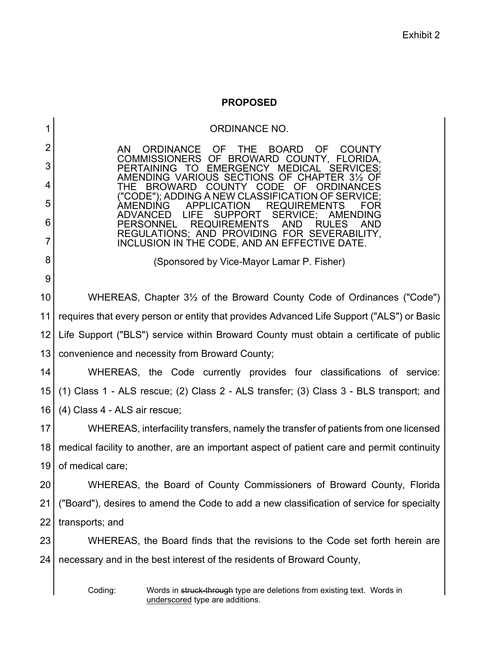## **PROPOSED**

| 1  | <b>ORDINANCE NO.</b>                                                                                                                                  |
|----|-------------------------------------------------------------------------------------------------------------------------------------------------------|
| 2  | <b>BOARD</b><br>AN.<br><b>ORDINANCE</b><br><b>OF</b><br><b>THE</b><br><b>OF</b><br><b>COUNTY</b>                                                      |
| 3  | COMMISSIONERS OF BROWARD COUNTY, FLORIDA.<br><b>PERTAINING</b><br><b>EMERGENCY</b><br><b>MEDICAL</b><br><b>SERVICES:</b><br>TO.                       |
| 4  | AMENDING VARIOUS SECTIONS OF CHAPTER 31/2<br>THE<br><b>BROWARD</b><br><b>COUNTY</b><br><b>CODE</b><br>OF<br>ORDINANCES                                |
| 5  | "CODE"); ADDING A NEW CLASSIFICATION OF SERVICE;<br>APPLICATION<br><b>REQUIREMENTS</b>                                                                |
| 6  | <b>ADVANCED</b><br>LIFE<br><b>SUPPORT</b><br><b>SERVICE:</b><br>AMENDING<br><b>REQUIREMENTS</b><br>RUL<br>ES<br><b>PERSONNEL</b><br><b>AND</b><br>AND |
| 7  | REGULATIONS; AND PROVIDING FOR SEVERABILITY,<br>INCLUSION IN THE CODE, AND AN EFFECTIVE DATE.                                                         |
| 8  | (Sponsored by Vice-Mayor Lamar P. Fisher)                                                                                                             |
| 9  |                                                                                                                                                       |
| 10 | WHEREAS, Chapter 3 <sup>1/2</sup> of the Broward County Code of Ordinances ("Code")                                                                   |
| 11 | requires that every person or entity that provides Advanced Life Support ("ALS") or Basic                                                             |
| 12 | Life Support ("BLS") service within Broward County must obtain a certificate of public                                                                |
| 13 | convenience and necessity from Broward County;                                                                                                        |
| 14 | WHEREAS, the Code currently provides four classifications of service:                                                                                 |
| 15 | (1) Class 1 - ALS rescue; (2) Class 2 - ALS transfer; (3) Class 3 - BLS transport; and                                                                |
| 16 | (4) Class 4 - ALS air rescue;                                                                                                                         |
| 17 | WHEREAS, interfacility transfers, namely the transfer of patients from one licensed                                                                   |
| 18 | medical facility to another, are an important aspect of patient care and permit continuity                                                            |
| 19 | of medical care;                                                                                                                                      |
| 20 | WHEREAS, the Board of County Commissioners of Broward County, Florida                                                                                 |
| 21 | ("Board"), desires to amend the Code to add a new classification of service for specialty                                                             |
| 22 | transports; and                                                                                                                                       |
| 23 | WHEREAS, the Board finds that the revisions to the Code set forth herein are                                                                          |
| 24 | necessary and in the best interest of the residents of Broward County,                                                                                |
|    | Coding:<br>Words in struck-through type are deletions from existing text. Words in<br>underscored type are additions.                                 |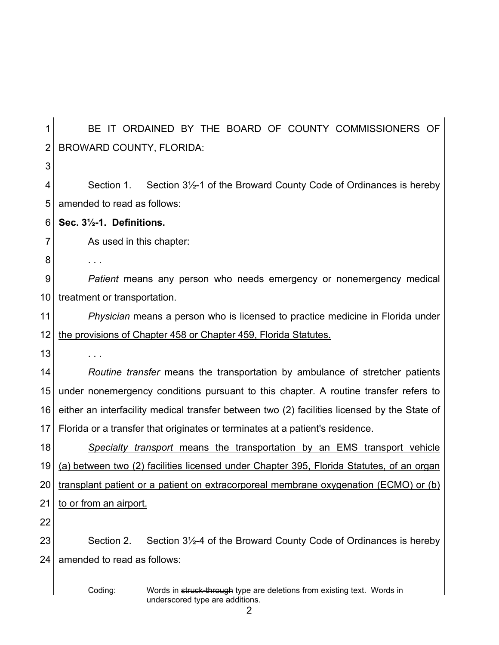| 1              | BE IT ORDAINED BY THE BOARD OF COUNTY COMMISSIONERS OF                                       |
|----------------|----------------------------------------------------------------------------------------------|
| $\overline{2}$ | <b>BROWARD COUNTY, FLORIDA:</b>                                                              |
| 3              |                                                                                              |
| 4              | Section 1. Section 3½-1 of the Broward County Code of Ordinances is hereby                   |
| 5              | amended to read as follows:                                                                  |
| 6              | Sec. 31/2-1. Definitions.                                                                    |
| 7              | As used in this chapter:                                                                     |
| 8              | $\sim$ $\sim$ $\sim$                                                                         |
| 9              | Patient means any person who needs emergency or nonemergency medical                         |
| 10             | treatment or transportation.                                                                 |
| 11             | Physician means a person who is licensed to practice medicine in Florida under               |
| 12             | the provisions of Chapter 458 or Chapter 459, Florida Statutes.                              |
| 13             | $\sim 100$ $\mu$                                                                             |
| 14             | Routine transfer means the transportation by ambulance of stretcher patients                 |
| 15             | under nonemergency conditions pursuant to this chapter. A routine transfer refers to         |
| 16             | either an interfacility medical transfer between two (2) facilities licensed by the State of |
| 17             | Florida or a transfer that originates or terminates at a patient's residence.                |
| 18             | Specialty transport means the transportation by an EMS transport vehicle                     |
| 19             | (a) between two (2) facilities licensed under Chapter 395, Florida Statutes, of an organ     |
| 20             | transplant patient or a patient on extracorporeal membrane oxygenation (ECMO) or (b)         |
| 21             | to or from an airport.                                                                       |
| 22             |                                                                                              |
| 23             | Section 2.<br>Section 3½-4 of the Broward County Code of Ordinances is hereby                |
| 24             | amended to read as follows:                                                                  |
|                | Coding:<br>Words in struck-through type are deletions from existing text. Words in           |

underscored type are additions.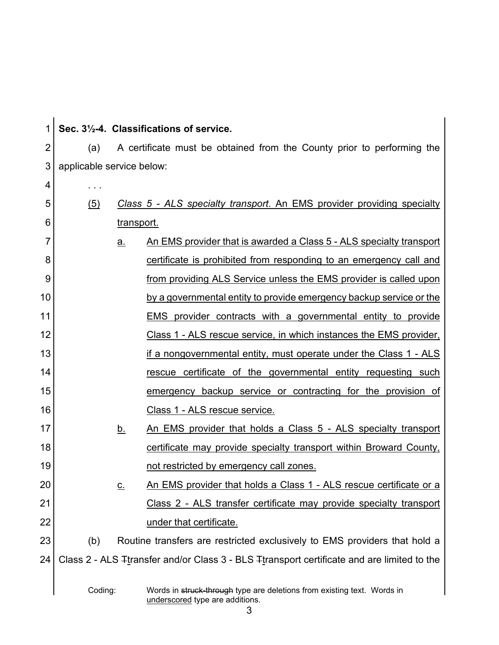| 1              |                           |                   | Sec. 31/2-4. Classifications of service.                                                                   |  |
|----------------|---------------------------|-------------------|------------------------------------------------------------------------------------------------------------|--|
| $\overline{2}$ | (a)                       |                   | A certificate must be obtained from the County prior to performing the                                     |  |
| 3              | applicable service below: |                   |                                                                                                            |  |
| 4              |                           |                   |                                                                                                            |  |
| 5              | $\left( 5\right)$         |                   | Class 5 - ALS specialty transport. An EMS provider providing specialty                                     |  |
| 6              |                           | <u>transport.</u> |                                                                                                            |  |
| 7              |                           | <u>a.</u>         | An EMS provider that is awarded a Class 5 - ALS specialty transport                                        |  |
| 8              |                           |                   | certificate is prohibited from responding to an emergency call and                                         |  |
| 9              |                           |                   | from providing ALS Service unless the EMS provider is called upon                                          |  |
| 10             |                           |                   | by a governmental entity to provide emergency backup service or the                                        |  |
| 11             |                           |                   | <b>EMS</b> provider contracts with a governmental entity to provide                                        |  |
| 12             |                           |                   | Class 1 - ALS rescue service, in which instances the EMS provider,                                         |  |
| 13             |                           |                   | if a nongovernmental entity, must operate under the Class 1 - ALS                                          |  |
| 14             |                           |                   | rescue certificate of the governmental entity requesting such                                              |  |
| 15             |                           |                   | emergency backup service or contracting for the provision of                                               |  |
| 16             |                           |                   | <u>Class 1 - ALS rescue service.</u>                                                                       |  |
| 17             |                           | <u>b.</u>         | An EMS provider that holds a Class 5 - ALS specialty transport                                             |  |
| 18             |                           |                   | certificate may provide specialty transport within Broward County,                                         |  |
| 19             |                           |                   | not restricted by emergency call zones.                                                                    |  |
| 20             |                           | <u>c.</u>         | An EMS provider that holds a Class 1 - ALS rescue certificate or a                                         |  |
| 21             |                           |                   | Class 2 - ALS transfer certificate may provide specialty transport                                         |  |
| 22             |                           |                   | under that certificate.                                                                                    |  |
| 23             | (b)                       |                   | Routine transfers are restricted exclusively to EMS providers that hold a                                  |  |
| 24             |                           |                   | Class 2 - ALS Transfer and/or Class 3 - BLS Transport certificate and are limited to the                   |  |
|                | Coding:                   |                   | Words in struck-through type are deletions from existing text. Words in<br>underscored type are additions. |  |

3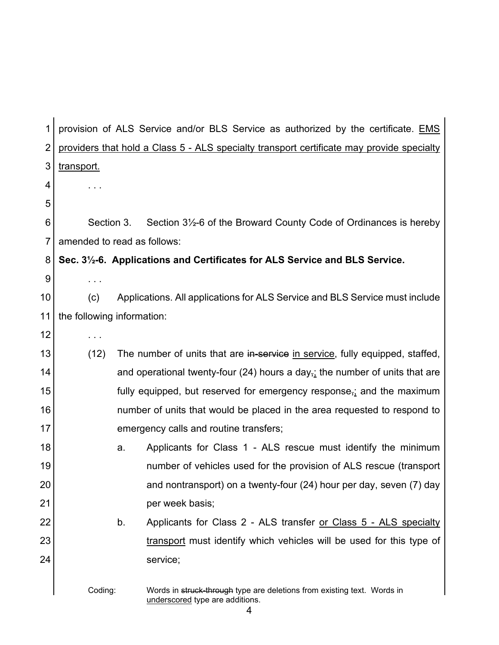| 1              |                             |    | provision of ALS Service and/or BLS Service as authorized by the certificate. EMS                             |
|----------------|-----------------------------|----|---------------------------------------------------------------------------------------------------------------|
| $\overline{2}$ |                             |    | providers that hold a Class 5 - ALS specialty transport certificate may provide specialty                     |
| 3              | transport.                  |    |                                                                                                               |
| 4              |                             |    |                                                                                                               |
| 5              |                             |    |                                                                                                               |
| 6              | Section 3.                  |    | Section 3½-6 of the Broward County Code of Ordinances is hereby                                               |
| 7              | amended to read as follows: |    |                                                                                                               |
| 8              |                             |    | Sec. 3½-6. Applications and Certificates for ALS Service and BLS Service.                                     |
| 9              | $\sim$ $\sim$ $\sim$        |    |                                                                                                               |
| 10             | (c)                         |    | Applications. All applications for ALS Service and BLS Service must include                                   |
| 11             | the following information:  |    |                                                                                                               |
| 12             | $\sim$ 100 $\pm$            |    |                                                                                                               |
| 13             | (12)                        |    | The number of units that are in-service in service, fully equipped, staffed,                                  |
| 14             |                             |    | and operational twenty-four (24) hours a day <sub><math>\frac{1}{2}</math></sub> the number of units that are |
| 15             |                             |    | fully equipped, but reserved for emergency response, and the maximum                                          |
| 16             |                             |    | number of units that would be placed in the area requested to respond to                                      |
| 17             |                             |    | emergency calls and routine transfers;                                                                        |
| 18             |                             | a. | Applicants for Class 1 - ALS rescue must identify the minimum                                                 |
| 19             |                             |    | number of vehicles used for the provision of ALS rescue (transport                                            |
| 20             |                             |    | and nontransport) on a twenty-four (24) hour per day, seven (7) day                                           |
| 21             |                             |    | per week basis;                                                                                               |
| 22             |                             | b. | Applicants for Class 2 - ALS transfer or Class 5 - ALS specialty                                              |
| 23             |                             |    | transport must identify which vehicles will be used for this type of                                          |
| 24             |                             |    | service;                                                                                                      |
|                | Coding:                     |    | Words in struck-through type are deletions from existing text. Words in<br>underscored type are additions.    |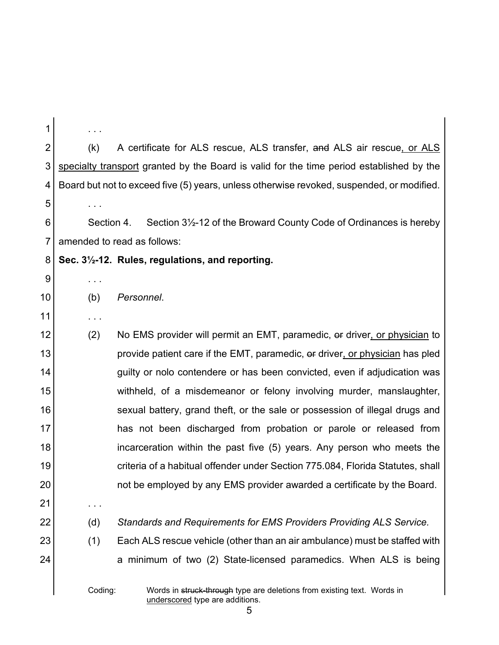| 1  |                                                                                                            |                                                                                                            |  |  |  |
|----|------------------------------------------------------------------------------------------------------------|------------------------------------------------------------------------------------------------------------|--|--|--|
| 2  | (k)                                                                                                        | A certificate for ALS rescue, ALS transfer, and ALS air rescue, or ALS                                     |  |  |  |
| 3  |                                                                                                            | specialty transport granted by the Board is valid for the time period established by the                   |  |  |  |
| 4  |                                                                                                            | Board but not to exceed five (5) years, unless otherwise revoked, suspended, or modified.                  |  |  |  |
| 5  | $\sim$ 100 $\pm$                                                                                           |                                                                                                            |  |  |  |
| 6  | Section 3 <sup>1</sup> / <sub>2</sub> -12 of the Broward County Code of Ordinances is hereby<br>Section 4. |                                                                                                            |  |  |  |
| 7  |                                                                                                            | amended to read as follows:                                                                                |  |  |  |
| 8  |                                                                                                            | Sec. 3 <sup>1</sup> / <sub>2</sub> -12. Rules, regulations, and reporting.                                 |  |  |  |
| 9  | $\sim$ 100 $\pm$                                                                                           |                                                                                                            |  |  |  |
| 10 | (b)                                                                                                        | Personnel.                                                                                                 |  |  |  |
| 11 | $\sim$ 100 $\pm$                                                                                           |                                                                                                            |  |  |  |
| 12 | (2)                                                                                                        | No EMS provider will permit an EMT, paramedic, or driver, or physician to                                  |  |  |  |
| 13 |                                                                                                            | provide patient care if the EMT, paramedic, or driver, or physician has pled                               |  |  |  |
| 14 |                                                                                                            | guilty or nolo contendere or has been convicted, even if adjudication was                                  |  |  |  |
| 15 |                                                                                                            | withheld, of a misdemeanor or felony involving murder, manslaughter,                                       |  |  |  |
| 16 |                                                                                                            | sexual battery, grand theft, or the sale or possession of illegal drugs and                                |  |  |  |
| 17 |                                                                                                            | has not been discharged from probation or parole or released from                                          |  |  |  |
| 18 |                                                                                                            | incarceration within the past five (5) years. Any person who meets the                                     |  |  |  |
| 19 |                                                                                                            | criteria of a habitual offender under Section 775.084, Florida Statutes, shall                             |  |  |  |
| 20 |                                                                                                            | not be employed by any EMS provider awarded a certificate by the Board.                                    |  |  |  |
| 21 | .                                                                                                          |                                                                                                            |  |  |  |
| 22 | (d)                                                                                                        | Standards and Requirements for EMS Providers Providing ALS Service.                                        |  |  |  |
| 23 | (1)                                                                                                        | Each ALS rescue vehicle (other than an air ambulance) must be staffed with                                 |  |  |  |
| 24 |                                                                                                            | a minimum of two (2) State-licensed paramedics. When ALS is being                                          |  |  |  |
|    | Coding:                                                                                                    | Words in struck-through type are deletions from existing text. Words in<br>underscored type are additions. |  |  |  |

5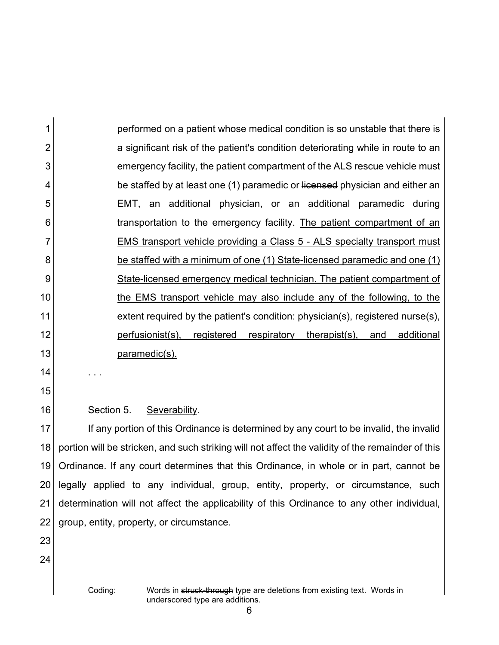1 2 3 4 5 6 7 8 9 10 11 12 13 performed on a patient whose medical condition is so unstable that there is a significant risk of the patient's condition deteriorating while in route to an emergency facility, the patient compartment of the ALS rescue vehicle must be staffed by at least one (1) paramedic or licensed physician and either an EMT, an additional physician, or an additional paramedic during transportation to the emergency facility. The patient compartment of an EMS transport vehicle providing a Class 5 - ALS specialty transport must be staffed with a minimum of one (1) State-licensed paramedic and one (1) State-licensed emergency medical technician. The patient compartment of the EMS transport vehicle may also include any of the following, to the extent required by the patient's condition: physician(s), registered nurse(s), perfusionist(s), registered respiratory therapist(s), and additional paramedic(s).

14 15

16

Section 5. Severability.

. . .

17 18 19 20 21 22 If any portion of this Ordinance is determined by any court to be invalid, the invalid portion will be stricken, and such striking will not affect the validity of the remainder of this Ordinance. If any court determines that this Ordinance, in whole or in part, cannot be legally applied to any individual, group, entity, property, or circumstance, such determination will not affect the applicability of this Ordinance to any other individual, group, entity, property, or circumstance.

- 23
- 24

Coding: Words in struck-through type are deletions from existing text. Words in underscored type are additions.

6